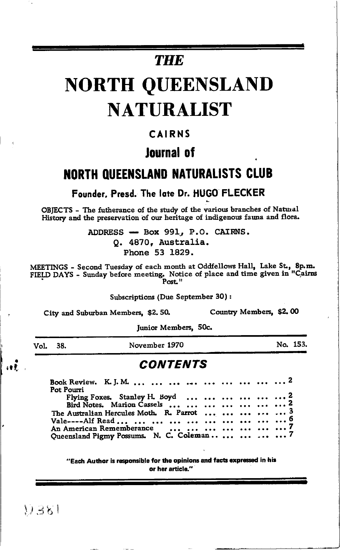# **THE**

# **NORTH QUEENSLAND NATURALIST**

## CAIRNS

## Journal of

## **NORTH QUEENSLAND NATURALISTS CLUB**

#### Founder, Presd. The late Dr. HUGO FLECKER

OBJECTS - The futherance of the study of the various branches of Natural History and the preservation of our heritage of indigenous fauna and flora.

> ADDRESS - Box 991, P.O. CAIRNS. Q. 4870, Australia. Phone 53 1829.

MEETINGS - Second Tuesday of each month at Oddfellows Hall, Lake St., 8p.m. FIELD DAYS - Sunday before meeting. Notice of place and time given in "Cairns Post."

Subscriptions (Due September 30):

City and Suburban Members, \$2.50.

Country Members, \$2.00

Junior Members, 50c.

Vol. 38.

 $\mathbf{H}$ 

November 1970

No. 153.

#### **CONTENTS**

| Pot Pourri                                     |  |
|------------------------------------------------|--|
|                                                |  |
| Flying Foxes. Stanley H. Boyd       2          |  |
| Bird Notes. Marion Cassels        2            |  |
| The Australian Hercules Moth. R. Parrot      3 |  |
|                                                |  |
| An American Rememberance        7              |  |
| Queensland Pigmy Possums. N. C. Coleman     7  |  |

"Each Author is responsible for the opinions and facts expressed in his or her article."

 $11.381$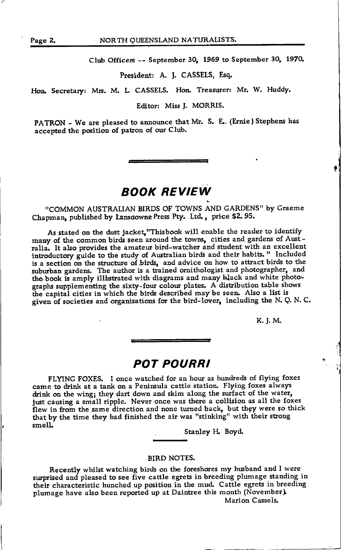Club Officers -- September 30, 1969 to September 30, 1970.

President: A. J. CASSELS, Esq.

Hon. Secretary: Mrs. M. L. CASSELS. Hon. Treasurer: Mr. W. Huddy.

Editor: Miss J. MORRIS.

PATRON - We are pleased to announce that Mr. S. E. (Ernie) Stephens has accepted the position of patron of our Club.

### BOOK REVIEW

"COMMON AUSTRALIAN BIRDS OF TOWNS AND GARDENS" by Graeme Chapman, published by Lansdowne Press Pty. Ltd., price \$2.95.

As stated on the dust jacket, "Thisbook will enable the reader to identify many of the common birds seen around the towns, cities and gardens of Australia. It also provides the amateur bird-watcher and student with an excellent introductory guide to the study of Australian birds and their habits. " Included is a section on the structure of birds, and advice on how to attract birds to the suburban gardens. The author is a trained ornithologist and photographer, and the book is amply ill istrated with diagrams and many black and white photographs supplernenting the sixty-four colour plates. A distribution table shows the capital cities in which the birds described may be seen. Also a list is given of societies and organisations for the bird-lover, including the N. Q. N. C.

K.J.M.

#### POT POURRI

FLYING FOXES. I once watched for an hour as hundreds of flying foxes came to drink at a tank on a Peninsula cattle station. Flying foxes always drink on the wing; they dart down and skim along the surfact of the water, just causing a small ripple. Never once was there a collision as all the foxes flew in from the same direction and none turned back, but they were so thick that by the time they had finished the air was "stinking" with their strong smelL

Stanley H. Boyd.

#### BIRD NOTES.

.

Recently whilst watching birds on the foreshores my husband and I were surprised and pleased to see five cattle egrets in breeding plumage standing in their characteristic hunched up position in the mud. Cattle egrets in breeding plumage have also been reported up at Daintree this month (November). Marion Cassels.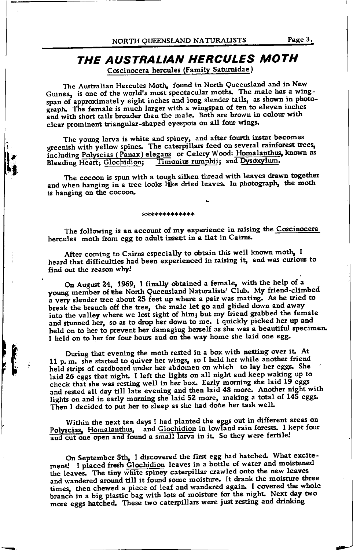#### THE AUSTRALIAN HERCULES MOTH Coscinocera hercules (Family Saturnidae)

The Australian Hercules Moth, found in North Queensland and in New Guinea, is one of the world's most spectacular moths. The male has a wingspan of approximately eight inches and long slender tails, as shown in photograph. The female is much larger with a wingspan of ten to eleven inches and with short tails broader than the male. Both are brown in colour with clear prominent triangular-shaped eyespots on all four wings.

The young larva is white and spiney, and after fourth instar becomes greenish with yellow spines. The caterpillars feed on several rainforest trees, including Polyscias (Panax) elegans or Celery Wood: Homalanthus, known as Timonius rumphii; and Dysoxylum. Bleeding Heart; Glochidion;

The cocoon is spun with a tough silken thread with leaves drawn together and when hanging in a tree looks like dried leaves. In photograph, the moth is hanging on the cocoon.

\*\*\*\*\*\*\*\*\*\*\*\*\*

The following is an account of my experience in raising the Coscinocera hercules moth from egg to adult insett in a flat in Cairns.

After coming to Cairns especially to obtain this well known moth, I heard that difficulties had been experienced in raising it, and was curious to find out the reason why!

On August 24, 1969, I finally obtained a female, with the help of a young member of the North Queensland Naturalists' Club. My friend-climbed a very slender tree about 25 feet up where a pair was mating. As he tried to break the branch off the tree, the male let go and glided down and away into the valley where we lost sight of him; but my friend grabbed the female and stunned her, so as to drop her down to me. I quickly picked her up and held on to her to prevent her damaging herself as she was a beautiful specimen. I held on to her for four hours and on the way home she laid one egg.

During that evening the moth rested in a box with netting over it. At 11 p.m. she started to quiver her wings, so I held her while another friend held strips of cardboard under her abdomen on which to lay her eggs. She laid 26 eggs that night. I left the lights on all night and keep waking up to check that she was resting well in her box. Early morning she laid 19 eggs and rested all day till late evening and then laid 48 more. Another night with lights on and in early morning she laid 52 more, making a total of 145 eggs. Then I decided to put her to sleep as she had done her task well.

Within the next ten days I had planted the eggs out in different areas on Polyscias, Homalanthus, and Glochidion in lowland rain forests. I kept four and cut one open and found a small larva in it. So they were fertile!

On September 5th, I discovered the first egg had hatched. What excitement! I placed fresh Glochidion leaves in a bottle of water and moistened the leaves. The tiny white spiney caterpillar crawled onto the new leaves and wandered around till it found some moisture. It drank the moisture three times, then chewed a piece of leaf and wandered again. I covered the whole branch in a big plastic bag with lots of moisture for the night. Next day two more eggs hatched. These two caterpillars were just resting and drinking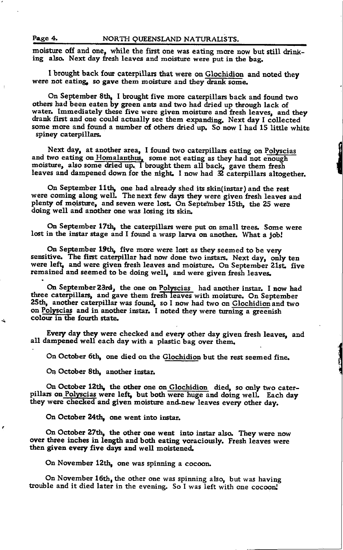moisture off and one, while the first one was eating more now but still drink-ing also. Next day fresh leaves and moisture were put in the bag.

I brought back four caterpillars that were on Glochidion and noted they were not eating, so gave them moisture and they drank some.

On September 8th, I brought five more caterpillars back and found two others had been eaten by green ants and two had dried up through lack of water. Immediately these five were given moisture and fresh leaves, and they<br>drank first and one could actually see them expending. Next day Leelleated drank first and one could actually see them expanding. Next day I collected some more and found a number of others dried up. So now I had 15 little white spiney caterpillars,

next day, at ahother area, I found two caterphilars eating on Polyscias<br>and two eating on Homalanthus, some not eating as they had not enough Next day, at another area, I found two caterpillars eating on Polyscias moisture, also some dried up. I brought them all back, gave them fresh leaves and dampened down for the night. I now had  $2$  caterpillars altogether,

On September 11th, one had already shed its skin(instar) and the rest were coming along well. The next few days they were given fresh leaves and plenty of moisture, and seven were lost. On September 15th, the 25 were doing well and another one was losing its skin.

On September 17th, the caterpillars were put on small trees. Some were lost in the instar stage and I found a wasp larva on another. What a job!

On September 19th, five more were lost as they seemed to be very sensitive. The first caterpillar had now done two instars. Next day, only ten were left, and were given fresh leaves and moisture. On September 21st. five remained and seemed to be doing well, and were given fresh leaves.

On September 23rd, the one on Polyscias had another instar. I now had three caterpillars, and gave them fresh leaves with moisture. On September 25th, another caterpillar was found, so I now had two on Glochidion and two on Polyscias and in another instar. I noted they were turning a greenish colour in the fourth state.

Every day they were checked and every other day given fresh leaves, and all dampened well each day with a plastic-bag over them.

On October 6th, one died on the Glochidion but the rest seemed fine.

On October 8th, another instar.

On October 12th, the other one on Glochidion died, so only two cater-<br>pillars on Polyscias were left, but both were huge and doing well. Each day they were checked and given moisture and new leaves every other day.

On October 24th, one went into instar.

On October 27th, the other one went into instar also. They were now over three inches in length and both eating voraciously. Fresh leaves were then given every five days and well moistened.

On November 12th, one was spinning a cocoon.

On November 16th, the other one was spinning also, but was having trouble and it died later in the evening. So I was left with one cocoon!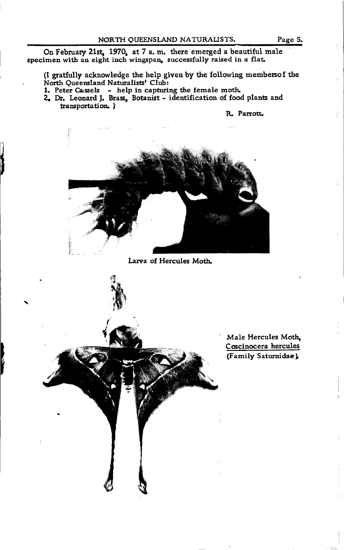On February 21st, 1970, at 7 a.m. there emerged a beautiful male specimen with an eight inch wingspan, succesfully raised in a flaL

(I gratfully acknowledge the help given by the following membersof the North Queensland Naturalists' Club:

1. Peter Cassels - help in capturing the female moth.

2. Dr. Leonard J. Brass, Botanist - identification of food plants and transportation. )

R. Parrotr.



Larva of Hercules Moth.



Male Hercules Moth, Coscinocera hercules (Family Saturnidae)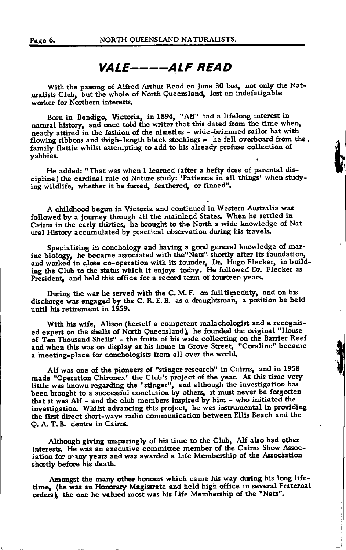#### VALE----ALF READ

With the passing of Alfred Arthur Read on June 30 last, not only the Naturalists Club, but the whole of North Queensland, lost an indefatigable worker for Northern interests.

Born in Bendigo, Victoria, in 1894, "Alf" had a lifelong interest in natural history, and once told the writer that this dated from the time when, neatly attired in the fashion of the nimeties - wide-brimmed sailor hat with flowing ribbons and thigh-length black stockings - he fell overboard from the, family flattie whilst attempting to add to his already profuse collection of vabbies.

He added: "That was when I learned (after a hefty dose of parental discipline) the cardinal rule of Nature study: 'Patience in all things' when studying wildlife, whether it be furred, feathered, or finned".

A childhood begun in Victoria and continued in Western Australia was followed by a journey through all the mainland States. When he settled in Cairns in the early thirties, he brought to the North a wide knowledge of Natural History accumulated by practical observation during his travels.

Specialising in conchology and having a good general knowledge of marine biology, he became associated with the "Nats" shortly after its foundation, and worked in close co-operation with its founder, Dr. Hugo Flecker, in building the Club to the status which it enjoys today. He followed Dr. Flecker as President, and held this office for a record term of fourteen years.

During the war he served with the C. M. F. on full timeduty, and on his discharge was engaged by the C. R. E. B. as a draughtsman, a position he held until his retirement in 1959.

With his wife, Alison (herself a competent malachologist and a recognised expert on the shells of North Queensland), he founded the original "House of Ten Thousand Shells" - the fruits of his wide collecting on the Barrier Reef and when this was on display at his home in Grove Street, "Coraline" became a meeting-place for conchologists from all over the world.

Alf was one of the pioneers of "stinger research" in Cairns, and in 1958 made "Operation Chironex" the Club's project of the year. At this time very little was known regarding the "stinger", and although the investigation has<br>been brought to a successful conclusion by others, it must never be forgotten that it was Alf - and the club members inspired by him - who initiated the investigation. Whilst advancing this project, he was instrumental in providing the first direct short-wave radio communication between Ellis Beach and the Q. A. T. B. centre in Cairns.

Although giving unsparingly of his time to the Club, Alf also had other interests. He was an executive committee member of the Cairns Show Association for many years and was awarded a Life Membership of the Association shortly before his death.

Amongst the many other honours which came his way during his long lifetime, (he was an Honorary Magistrate and held high office in several Fraternal orders), the one he valued most was his Life Membership of the "Nats".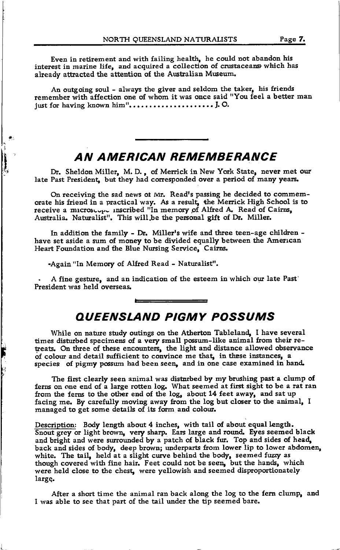Even in retirement and with failing health, he could not abandon his interest in marine life, and acquired a collection of crustaceans which has already attracted the attention of the Australian Museum.

An outgoing soul - always the giver and seldom the taker, his friends remember with affection one of whom it was once said "You feel a better man just for having known himrr. . . . . .... J. O.

## AN AMERICAN REMEMBERANCE

Dr. Sheldon Miller, M.D., of Merrick in New York State, never met our late Past President, but they had corresponded over a period of many years.

On receiving the sad news ot Mr. Read's passing he decided to commemorate his friend in a practical way. As a result, the Merrick High School is to receive a microscope inscribed "In memory of Alfred A. Read of Cairns, Australia. Naturalist". This will be the personal gift of Dr. Miller.

In addition the family - Dr. Miller's wife and three teen-age children have set aside a sum of money to be divided equally between the American Heart Foundation and the Blue Nursing Serwice, Cairns.

-Again "In Memory of Alfred Read - Naturalist".

 $\mathbf{L}$ 

**I** 

I

I \$

|<br>|<br>|

. A fine gestrue, and an indication of the esteem in which our late Past' President was held overseas.

#### AUEENSLAND PIGMY POSSUMS

While on nature study outings on the Atherton Tableland, I have several times disturbed specimens of a very small possum-like animal from their retreats. On three of these encounters, the light and distance allowed observance of colour and detail sufficient to convince me that, in these instances, a species of pigmy possum had been seen, and in one case examined in hand.

The first clearly seen animal was disturbed by my brushing past a clump of ferns on one end of a large rotten 1og. What seemed at first sight to be a rat ran from the ferns to the other end of the log, about 14 feet away, and sat up facing me. By carefully moving away from the log but closer to the animal, I managed to get some details of its form and colour.

Description: Body length about 4 inches, with tail of about equal length.<br>Snout grey or light brown, very sharp. Ears large and round. Eyes seemed black mough covered with the hand, I eet could not be seem, but the hands, when<br>were held close to the chest, were yellowish and seemed disproportionately and bright and were surrounded by a patch of black fur. Top and sides of head, back and sides of body, deep brown; underparts from lower lip to lower abdomen, white. The tail, held at a slight curve behind the body, seemed fuzzy as though covered with fine hair. Feet could not be seen, but the hands, which large.

After a short time the animal ran back along the log to the fern clump, and I was able to see that part of the tail under the tip seemed bare.